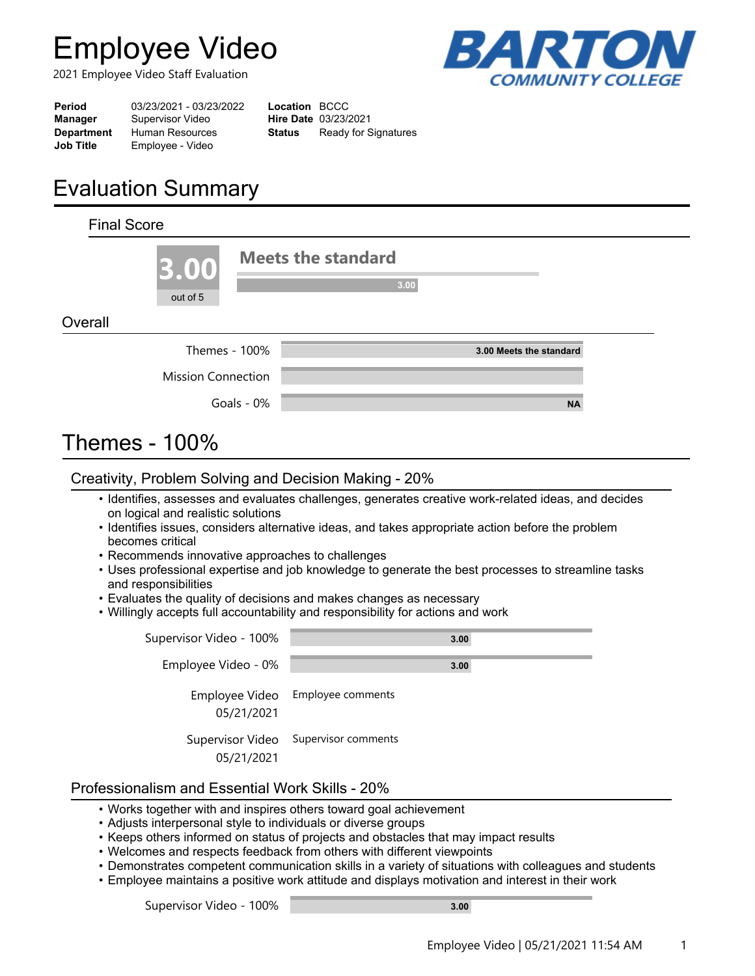# **Employee Video**

2021 Employee Video Staff Evaluation



| Period            | 03/23/2021 - 03/23/2022 | <b>Location BCCC</b> |                             |
|-------------------|-------------------------|----------------------|-----------------------------|
| Manager           | Supervisor Video        |                      | <b>Hire Date 03/23/2021</b> |
| <b>Department</b> | <b>Human Resources</b>  | Status               | Ready for Signatures        |
| <b>Job Title</b>  | Employee - Video        |                      |                             |

# **Evaluation Summary**

| <b>Final Score</b> |                           |            |                                   |
|--------------------|---------------------------|------------|-----------------------------------|
|                    | 3.00 <br>out of 5         |            | <b>Meets the standard</b><br>3.00 |
| Overall            |                           |            |                                   |
|                    | Themes - 100%             |            | 3.00 Meets the standard           |
|                    | <b>Mission Connection</b> |            |                                   |
|                    |                           | Goals - 0% | <b>NA</b>                         |
|                    | 10001                     |            |                                   |

# Themes - 100%

### Creativity, Problem Solving and Decision Making - 20%

- $\bullet$  Identifies, assesses and evaluates challenges, generates creative work-related ideas, and decides on logical and realistic solutions
- $\cdot$  Identifies issues, considers alternative ideas, and takes appropriate action before the problem becomes critical
- Recommends innovative approaches to challenges
- Uses professional expertise and job knowledge to generate the best processes to streamline tasks •and responsibilities
- Evaluates the quality of decisions and makes changes as necessary
- Willingly accepts full accountability and responsibility for actions and work

| Supervisor Video - 100% | 3.00                                 |
|-------------------------|--------------------------------------|
| Employee Video - 0%     | 3.00                                 |
| 05/21/2021              | Employee Video Employee comments     |
| 05/21/2021              | Supervisor Video Supervisor comments |

#### Professionalism and Essential Work Skills - 20%

- Works together with and inspires others toward goal achievement
- Adjusts interpersonal style to individuals or diverse groups
- Keeps others informed on status of projects and obstacles that may impact results
- Welcomes and respects feedback from others with different viewpoints
- Demonstrates competent communication skills in a variety of situations with colleagues and students
- Employee maintains a positive work attitude and displays motivation and interest in their work

Supervisor Video - 100%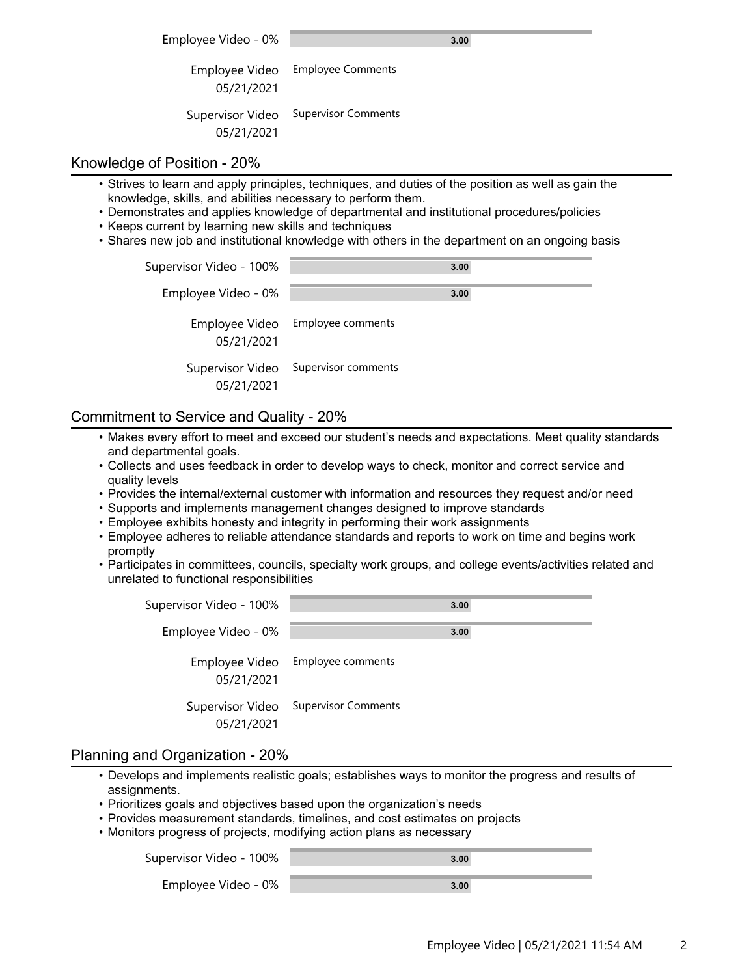| Employee Video - 0% | 3.00 |  |
|---------------------|------|--|

Employee Video Employee Comments 05/21/2021 Supervisor Video Supervisor Comments

05/21/2021

#### Knowledge of Position - 20%

- $\bullet$  Strives to learn and apply principles, techniques, and duties of the position as well as gain the knowledge, skills, and abilities necessary to perform them.
- Demonstrates and applies knowledge of departmental and institutional procedures/policies
- Keeps current by learning new skills and techniques
- Shares new job and institutional knowledge with others in the department on an ongoing basis

| Supervisor Video - 100%        | 3.00                             |
|--------------------------------|----------------------------------|
| Employee Video - 0%            | 3.00                             |
| 05/21/2021                     | Employee Video Employee comments |
| Supervisor Video<br>05/21/2021 | Supervisor comments              |

### Commitment to Service and Quality - 20%

- $\bullet$  Makes every effort to meet and exceed our student's needs and expectations. Meet quality standards and departmental goals.
- Collects and uses feedback in order to develop ways to check, monitor and correct service and •quality levels
- Provides the internal/external customer with information and resources they request and/or need
- Supports and implements management changes designed to improve standards
- Employee exhibits honesty and integrity in performing their work assignments
- Employee adheres to reliable attendance standards and reports to work on time and begins work •promptly
- $\bullet$  Participates in committees, councils, specialty work groups, and college events/activities related and unrelated to functional responsibilities

| Supervisor Video - 100%        | 3.00                       |
|--------------------------------|----------------------------|
| Employee Video - 0%            | 3.00                       |
| Employee Video<br>05/21/2021   | Employee comments          |
| Supervisor Video<br>05/21/2021 | <b>Supervisor Comments</b> |

### Planning and Organization - 20%

- $\bullet$  Develops and implements realistic goals; establishes ways to monitor the progress and results of assignments.
- Prioritizes goals and objectives based upon the organization's needs
- Provides measurement standards, timelines, and cost estimates on projects
- Monitors progress of projects, modifying action plans as necessary

| Supervisor Video - 100% | 3.00 |
|-------------------------|------|
| Employee Video - 0%     | 3.00 |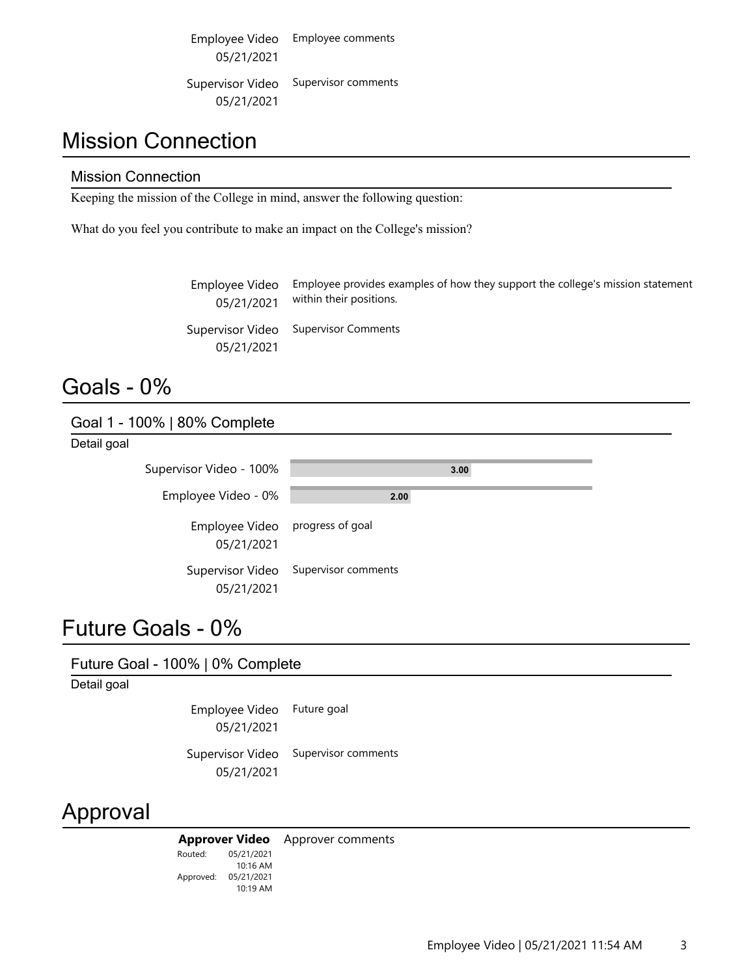Employee Video Employee comments 05/21/2021 Supervisor Video Supervisor comments 05/21/2021

# Mission Connection

#### Mission Connection

Keeping the mission of the College in mind, answer the following question:

What do you feel you contribute to make an impact on the College's mission?

Employee provides examples of how they support the college's mission statement within their positions. Employee Video 05/21/2021 Supervisor Video Supervisor Comments 05/21/2021

# Goals - 0%

#### Goal 1 - 100% | 80% Complete

| Detail goal |                                               |                     |
|-------------|-----------------------------------------------|---------------------|
|             | Supervisor Video - 100%                       | 3.00                |
|             | Employee Video - 0%                           | 2.00                |
|             | Employee Video progress of goal<br>05/21/2021 |                     |
|             | Supervisor Video<br>05/21/2021                | Supervisor comments |

### Future Goals - 0%

#### Future Goal - 100% | 0% Complete

Detail goal

Employee Video Future goal 05/21/2021 Supervisor Video Supervisor comments 05/21/2021

# Approval

**Approver Video** Approver comments Approved: 05/21/2021 Routed: 10:19 AM 05/21/2021 10:16 AM

Employee Video | 05/21/2021 11:54 AM 3